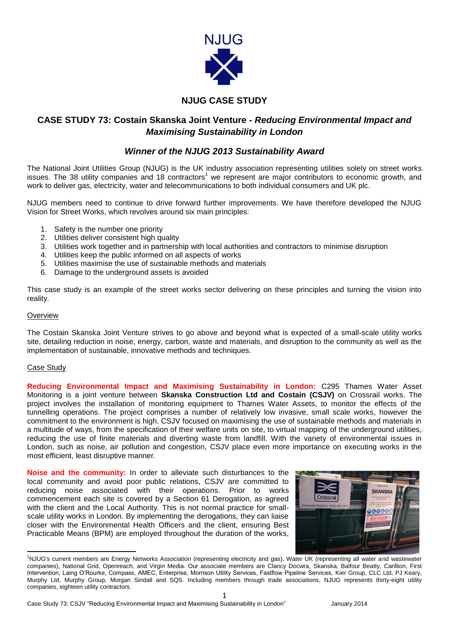

# **NJUG CASE STUDY**

# **CASE STUDY 73: Costain Skanska Joint Venture** *- Reducing Environmental Impact and Maximising Sustainability in London*

## *Winner of the NJUG 2013 Sustainability Award*

The National Joint Utilities Group (NJUG) is the UK industry association representing utilities solely on street works issues. The 38 utility companies and 18 contractors<sup>1</sup> we represent are major contributors to economic growth, and work to deliver gas, electricity, water and telecommunications to both individual consumers and UK plc.

NJUG members need to continue to drive forward further improvements. We have therefore developed the NJUG Vision for Street Works, which revolves around six main principles:

- 1. Safety is the number one priority
- 2. Utilities deliver consistent high quality
- 3. Utilities work together and in partnership with local authorities and contractors to minimise disruption
- 4. Utilities keep the public informed on all aspects of works
- 5. Utilities maximise the use of sustainable methods and materials
- 6. Damage to the underground assets is avoided

This case study is an example of the street works sector delivering on these principles and turning the vision into reality.

## **Overview**

The Costain Skanska Joint Venture strives to go above and beyond what is expected of a small-scale utility works site, detailing reduction in noise, energy, carbon, waste and materials, and disruption to the community as well as the implementation of sustainable, innovative methods and techniques.

## Case Study

**Reducing Environmental Impact and Maximising Sustainability in London:** C295 Thames Water Asset Monitoring is a joint venture between **Skanska Construction Ltd and Costain (CSJV)** on Crossrail works. The project involves the installation of monitoring equipment to Thames Water Assets, to monitor the effects of the tunnelling operations. The project comprises a number of relatively low invasive, small scale works, however the commitment to the environment is high. CSJV focused on maximising the use of sustainable methods and materials in a multitude of ways, from the specification of their welfare units on site, to virtual mapping of the underground utilities, reducing the use of finite materials and diverting waste from landfill. With the variety of environmental issues in London, such as noise, air pollution and congestion, CSJV place even more importance on executing works in the most efficient, least disruptive manner.

**Noise and the community:** In order to alleviate such disturbances to the local community and avoid poor public relations, CSJV are committed to reducing noise associated with their operations. Prior to works commencement each site is covered by a Section 61 Derogation, as agreed with the client and the Local Authority. This is not normal practice for smallscale utility works in London. By implementing the derogations, they can liaise closer with the Environmental Health Officers and the client, ensuring Best Practicable Means (BPM) are employed throughout the duration of the works,



**<sup>.</sup>** <sup>1</sup>NJUG's current members are Energy Networks Association (representing electricity and gas), Water UK (representing all water and wastewater companies), National Grid, Openreach, and Virgin Media. Our associate members are Clancy Docwra, Skanska, Balfour Beatty, Carillion, First Intervention, Laing O'Rourke, Compass, AMEC, Enterprise, Morrison Utility Services, Fastflow Pipeline Services, Kier Group, CLC Ltd, PJ Keary, Murphy Ltd, Murphy Group, Morgan Sindall and SQS. Including members through trade associations, NJUG represents thirty-eight utility companies, eighteen utility contractors.

1